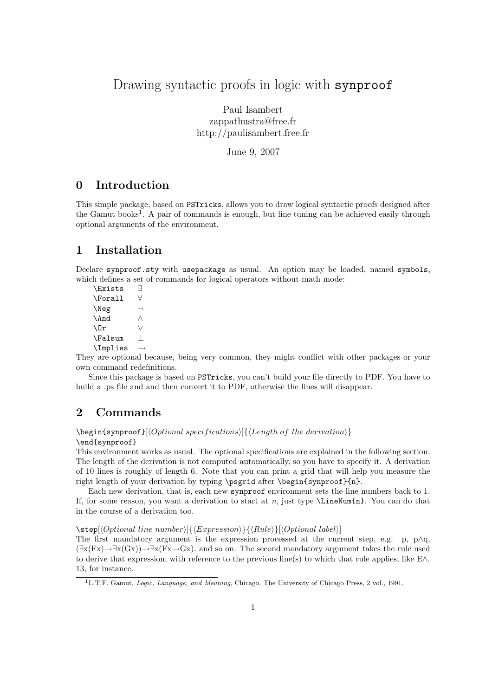# Drawing syntactic proofs in logic with synproof

Paul Isambert zappathustra@free.fr http://paulisambert.free.fr

June 9, 2007

## 0 Introduction

This simple package, based on PSTricks, allows you to draw logical syntactic proofs designed after the Gamut books<sup>1</sup>. A pair of commands is enough, but fine tuning can be achieved easily through optional arguments of the environment.

# 1 Installation

Declare synproof.sty with usepackage as usual. An option may be loaded, named symbols, which defines a set of commands for logical operators without math mode:

\Exists ∃ \Forall ∀ \Neg ¬ \And ∧ \Or ∨ \Falsum ⊥  $\Im$ Implies  $\rightarrow$ 

They are optional because, being very common, they might conflict with other packages or your own command redefinitions.

Since this package is based on PSTricks, you can't build your file directly to PDF. You have to build a .ps file and and then convert it to PDF, otherwise the lines will disappear.

# 2 Commands

 $\begin{equation}\begin{bmatrix}\begin{array}{c}\begin{array}{c}\end{array}\end{bmatrix} & \text{of the derivation}\end{bmatrix}\end{equation}$ 

\end{synproof}

This environment works as usual. The optional specifications are explained in the following section. The length of the derivation is not computed automatically, so you have to specify it. A derivation of 10 lines is roughly of length 6. Note that you can print a grid that will help you measure the right length of your derivation by typing \psgrid after \begin{synproof}{n}.

Each new derivation, that is, each new synproof environment sets the line numbers back to 1. If, for some reason, you want a derivation to start at n, just type  $\Lambda_n$ . You can do that in the course of a derivation too.

 $\setminus \text{step}[\langle Optional\ line\ number\rangle][\langle Expression\rangle][\langleRule\rangle][\langleOptional\ label\rangle]$ 

The first mandatory argument is the expression processed at the current step, e.g. p,  $p \wedge q$ ,  $(\exists x(Fx) \rightarrow \exists x(Gx)) \rightarrow \exists x(Fx \rightarrow Gx)$ , and so on. The second mandatory argument takes the rule used to derive that expression, with reference to the previous line(s) to which that rule applies, like E∧, 13, for instance.

<sup>1</sup>L.T.F. Gamut, Logic, Language, and Meaning, Chicago, The University of Chicago Press, 2 vol., 1991.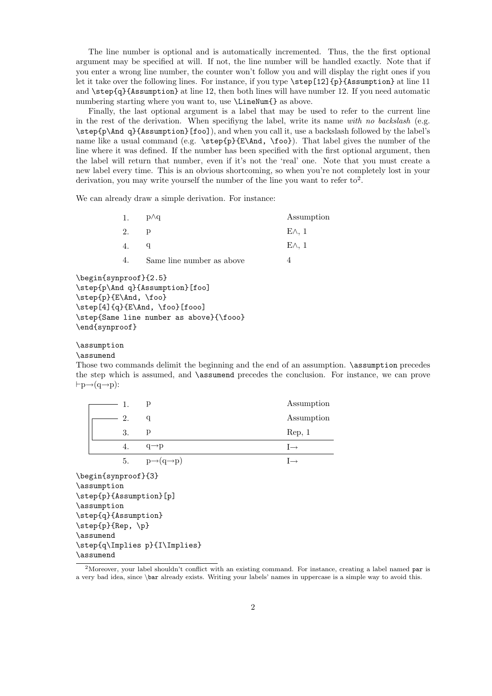The line number is optional and is automatically incremented. Thus, the the first optional argument may be specified at will. If not, the line number will be handled exactly. Note that if you enter a wrong line number, the counter won't follow you and will display the right ones if you let it take over the following lines. For instance, if you type \step[12]{p}{Assumption} at line 11 and \step{q}{Assumption} at line 12, then both lines will have number 12. If you need automatic numbering starting where you want to, use  $\Lambda$  ineNum{} as above.

Finally, the last optional argument is a label that may be used to refer to the current line in the rest of the derivation. When specifiyng the label, write its name with no backslash (e.g. \step{p\And q}{Assumption}[foo]), and when you call it, use a backslash followed by the label's name like a usual command (e.g.  $\step{p}{E\And, \foo}$ ). That label gives the number of the line where it was defined. If the number has been specified with the first optional argument, then the label will return that number, even if it's not the 'real' one. Note that you must create a new label every time. This is an obvious shortcoming, so when you're not completely lost in your derivation, you may write yourself the number of the line you want to refer to<sup>2</sup>.

We can already draw a simple derivation. For instance:

| 1. | $p\wedge q$               | Assumption   |
|----|---------------------------|--------------|
| 2. |                           | $E \wedge 1$ |
|    |                           | $E \wedge 1$ |
| 4. | Same line number as above |              |

```
\begin{synproof}{2.5}
\step{p\And q}{Assumption}[foo]
\step{p}{E\And, \foo}
\step[4]{q}{E\And, \foo}[fooo]
\step{Same line number as above}{\fooo}
\end{synproof}
```

```
\assumption
```
\assumend

Those two commands delimit the beginning and the end of an assumption. \assumption precedes the step which is assumed, and \assumend precedes the conclusion. For instance, we can prove  $\vdash p \rightarrow (q \rightarrow p)$ :

| 1.                            | p                                 | Assumption      |  |  |  |  |
|-------------------------------|-----------------------------------|-----------------|--|--|--|--|
| 2.                            | q                                 | Assumption      |  |  |  |  |
| 3.                            | p                                 | Rep, 1          |  |  |  |  |
| 4.                            | $q \rightarrow p$                 | $I \rightarrow$ |  |  |  |  |
| 5.                            | $p \rightarrow (q \rightarrow p)$ | $I \rightarrow$ |  |  |  |  |
| \begin{synproof}{3}           |                                   |                 |  |  |  |  |
| \assumption                   |                                   |                 |  |  |  |  |
| \step{p}{Assumption}[p]       |                                   |                 |  |  |  |  |
| \assumption                   |                                   |                 |  |  |  |  |
| \step{q}{Assumption}          |                                   |                 |  |  |  |  |
| \step{p}{Rep, \p}             |                                   |                 |  |  |  |  |
| \assumend                     |                                   |                 |  |  |  |  |
| \step{q\Implies p}{I\Implies} |                                   |                 |  |  |  |  |
| \assumend                     |                                   |                 |  |  |  |  |

<sup>&</sup>lt;sup>2</sup>Moreover, your label shouldn't conflict with an existing command. For instance, creating a label named par is a very bad idea, since \bar already exists. Writing your labels' names in uppercase is a simple way to avoid this.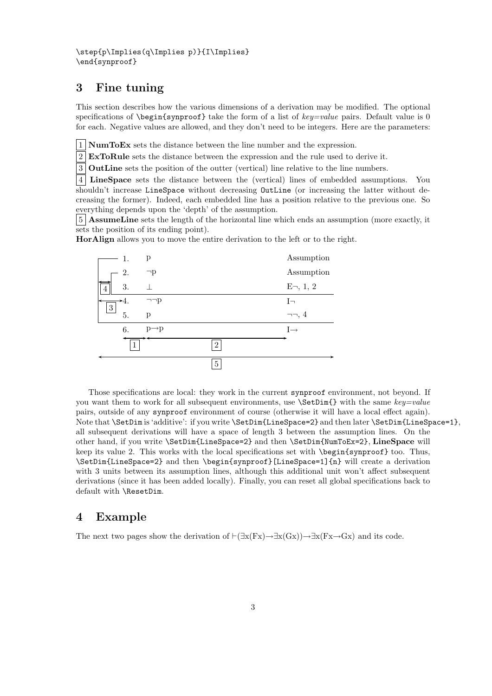### 3 Fine tuning

This section describes how the various dimensions of a derivation may be modified. The optional specifications of  $\begin{cases} \begin{array}{c} \text{else} \end{array} \end{cases}$  take the form of a list of key=value pairs. Default value is 0 for each. Negative values are allowed, and they don't need to be integers. Here are the parameters:

1 NumToEx sets the distance between the line number and the expression.

2 ExToRule sets the distance between the expression and the rule used to derive it.

3 OutLine sets the position of the outter (vertical) line relative to the line numbers.

4 LineSpace sets the distance between the (vertical) lines of embedded assumptions. You shouldn't increase LineSpace without decreasing OutLine (or increasing the latter without decreasing the former). Indeed, each embedded line has a position relative to the previous one. So everything depends upon the 'depth' of the assumption.

5 AssumeLine sets the length of the horizontal line which ends an assumption (more exactly, it sets the position of its ending point).

HorAlign allows you to move the entire derivation to the left or to the right.



Those specifications are local: they work in the current synproof environment, not beyond. If you want them to work for all subsequent environments, use  $\Set{\text{Stubim}}$  with the same key=value pairs, outside of any synproof environment of course (otherwise it will have a local effect again). Note that \SetDim is 'additive': if you write \SetDim{LineSpace=2} and then later \SetDim{LineSpace=1}, all subsequent derivations will have a space of length 3 between the assumption lines. On the other hand, if you write \SetDim{LineSpace=2} and then \SetDim{NumToEx=2}, LineSpace will keep its value 2. This works with the local specifications set with \begin{synproof} too. Thus, \SetDim{LineSpace=2} and then \begin{synproof}[LineSpace=1]{n} will create a derivation with 3 units between its assumption lines, although this additional unit won't affect subsequent derivations (since it has been added locally). Finally, you can reset all global specifications back to default with \ResetDim.

#### 4 Example

The next two pages show the derivation of  $\vdash (\exists x(Fx) \rightarrow \exists x(Gx)) \rightarrow \exists x(Fx \rightarrow Gx)$  and its code.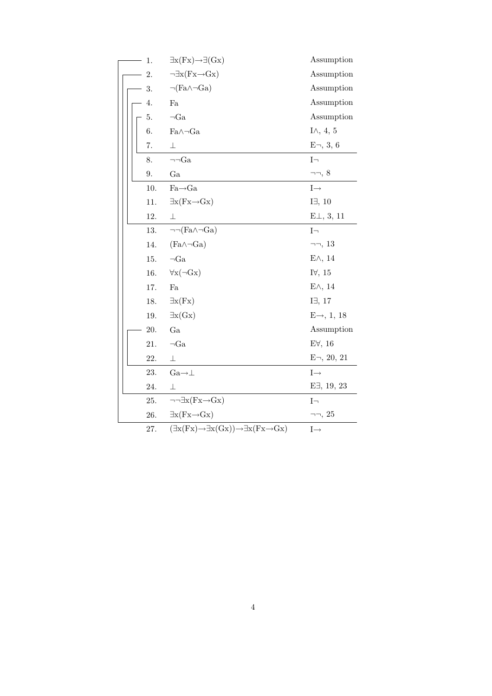|  | 1.  | $\exists x (Fx) \rightarrow \exists (Gx)$                                               | Assumption             |
|--|-----|-----------------------------------------------------------------------------------------|------------------------|
|  | 2.  | $\neg \exists x (Fx \rightarrow Gx)$                                                    | Assumption             |
|  | 3.  | $\neg(\text{Fa}\wedge\neg\text{Ga})$                                                    | Assumption             |
|  | 4.  | Fa                                                                                      | Assumption             |
|  | 5.  | $\neg Ga$                                                                               | Assumption             |
|  | 6.  | $Fa\wedge\neg Ga$                                                                       | I $\wedge$ , 4, 5      |
|  | 7.  | 丄                                                                                       | $E_{\Box}$ , 3, 6      |
|  | 8.  | $\neg\neg Ga$                                                                           | $I\neg$                |
|  | 9.  | Ga                                                                                      | $\neg\neg, 8$          |
|  | 10. | $Fa\rightarrow Ga$                                                                      | $I \rightarrow$        |
|  | 11. | $\exists x (Fx \rightarrow Gx)$                                                         | $I\exists$ , 10        |
|  | 12. | 上                                                                                       | $E\perp, 3, 11$        |
|  | 13. | $\neg\neg(Fa \wedge \neg Ga)$                                                           | $I_{\square}$          |
|  | 14. | $(Fa \wedge \neg Ga)$                                                                   | $\neg\neg, 13$         |
|  | 15. | $\neg Ga$                                                                               | $E \wedge$ , 14        |
|  | 16. | $\forall x(\neg Gx)$                                                                    | I $\forall$ , 15       |
|  | 17. | Fa                                                                                      | $E \wedge$ , 14        |
|  | 18. | $\exists x(Fx)$                                                                         | I $\exists$ , 17       |
|  | 19. | $\exists x(Gx)$                                                                         | $E \rightarrow 1, 18$  |
|  | 20. | Ga                                                                                      | Assumption             |
|  | 21. | $\neg Ga$                                                                               | $E\forall$ , 16        |
|  | 22. | $\perp$                                                                                 | $E_{\square}$ , 20, 21 |
|  | 23. | $Ga \rightarrow \perp$                                                                  | $I \rightarrow$        |
|  | 24. | $\perp$                                                                                 | $E\exists$ , 19, 23    |
|  | 25. | $\neg\neg \exists x (Fx \rightarrow Gx)$                                                | $I_{\square}$          |
|  | 26. | $\exists x (Fx \rightarrow Gx)$                                                         | $\neg\neg, 25$         |
|  | 27. | $(\exists x (Fx) \rightarrow \exists x (Gx)) \rightarrow \exists x (Fx \rightarrow Gx)$ | $I \rightarrow$        |